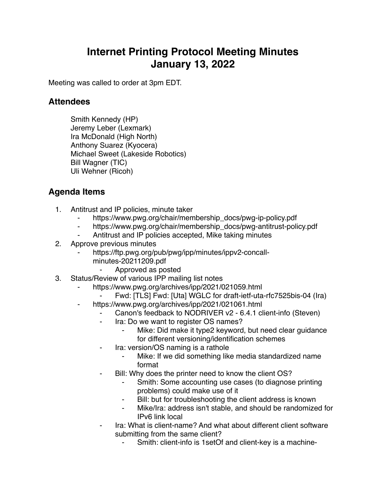## **Internet Printing Protocol Meeting Minutes January 13, 2022**

Meeting was called to order at 3pm EDT.

## **Attendees**

Smith Kennedy (HP) Jeremy Leber (Lexmark) Ira McDonald (High North) Anthony Suarez (Kyocera) Michael Sweet (Lakeside Robotics) Bill Wagner (TIC) Uli Wehner (Ricoh)

## **Agenda Items**

- 1. Antitrust and IP policies, minute taker
	- https://www.pwg.org/chair/membership\_docs/pwg-ip-policy.pdf
	- https://www.pwg.org/chair/membership\_docs/pwg-antitrust-policy.pdf
	- Antitrust and IP policies accepted, Mike taking minutes
- 2. Approve previous minutes
	- https://ftp.pwg.org/pub/pwg/ipp/minutes/ippv2-concallminutes-20211209.pdf
		- ⁃ Approved as posted
- 3. Status/Review of various IPP mailing list notes
	- https://www.pwg.org/archives/ipp/2021/021059.html
		- Fwd: [TLS] Fwd: [Uta] WGLC for draft-ietf-uta-rfc7525bis-04 (Ira)
	- https://www.pwg.org/archives/ipp/2021/021061.html
		- Canon's feedback to NODRIVER v2 6.4.1 client-info (Steven)
		- Ira: Do we want to register OS names?
			- Mike: Did make it type2 keyword, but need clear quidance for different versioning/identification schemes
		- Ira: version/OS naming is a rathole
			- Mike: If we did something like media standardized name format
		- ⁃ Bill: Why does the printer need to know the client OS?
			- Smith: Some accounting use cases (to diagnose printing problems) could make use of it
			- Bill: but for troubleshooting the client address is known
			- Mike/Ira: address isn't stable, and should be randomized for IPv6 link local
		- Ira: What is client-name? And what about different client software submitting from the same client?
			- Smith: client-info is 1 set Of and client-key is a machine-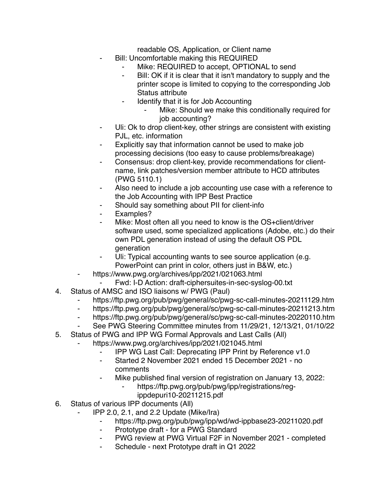readable OS, Application, or Client name

- Bill: Uncomfortable making this REQUIRED
	- Mike: REQUIRED to accept, OPTIONAL to send
	- ⁃ Bill: OK if it is clear that it isn't mandatory to supply and the printer scope is limited to copying to the corresponding Job Status attribute
	- ⁃ Identify that it is for Job Accounting
		- Mike: Should we make this conditionally required for job accounting?
- ⁃ Uli: Ok to drop client-key, other strings are consistent with existing PJL, etc. information
- Explicitly say that information cannot be used to make job processing decisions (too easy to cause problems/breakage)
- Consensus: drop client-key, provide recommendations for clientname, link patches/version member attribute to HCD attributes (PWG 5110.1)
- ⁃ Also need to include a job accounting use case with a reference to the Job Accounting with IPP Best Practice
- Should say something about PII for client-info
- ⁃ Examples?
- Mike: Most often all you need to know is the OS+client/driver software used, some specialized applications (Adobe, etc.) do their own PDL generation instead of using the default OS PDL generation
- Uli: Typical accounting wants to see source application (e.g. PowerPoint can print in color, others just in B&W, etc.)
- https://www.pwg.org/archives/ipp/2021/021063.html
	- Fwd: I-D Action: draft-ciphersuites-in-sec-syslog-00.txt
- 4. Status of AMSC and ISO liaisons w/ PWG (Paul)
	- ⁃ https://ftp.pwg.org/pub/pwg/general/sc/pwg-sc-call-minutes-20211129.htm
	- ⁃ https://ftp.pwg.org/pub/pwg/general/sc/pwg-sc-call-minutes-20211213.htm
	- ⁃ https://ftp.pwg.org/pub/pwg/general/sc/pwg-sc-call-minutes-20220110.htm
	- ⁃ See PWG Steering Committee minutes from 11/29/21, 12/13/21, 01/10/22
- 5. Status of PWG and IPP WG Formal Approvals and Last Calls (All)
	- https://www.pwg.org/archives/ipp/2021/021045.html
		- **IPP WG Last Call: Deprecating IPP Print by Reference v1.0**
		- ⁃ Started 2 November 2021 ended 15 December 2021 no comments
		- Mike published final version of registration on January 13, 2022:
			- https://ftp.pwg.org/pub/pwg/ipp/registrations/reg
				- ippdepuri10-20211215.pdf
- 6. Status of various IPP documents (All)
	- ⁃ IPP 2.0, 2.1, and 2.2 Update (Mike/Ira)
		- ⁃ https://ftp.pwg.org/pub/pwg/ipp/wd/wd-ippbase23-20211020.pdf
		- ⁃ Prototype draft for a PWG Standard
		- ⁃ PWG review at PWG Virtual F2F in November 2021 completed
		- Schedule next Prototype draft in Q1 2022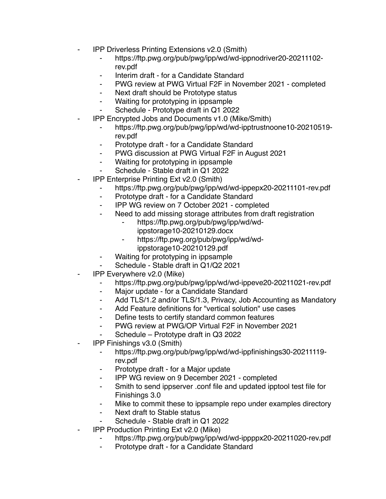- **IPP Driverless Printing Extensions v2.0 (Smith)** 
	- ⁃ https://ftp.pwg.org/pub/pwg/ipp/wd/wd-ippnodriver20-20211102 rev.pdf
	- Interim draft for a Candidate Standard
	- ⁃ PWG review at PWG Virtual F2F in November 2021 completed
	- Next draft should be Prototype status
	- ⁃ Waiting for prototyping in ippsample
	- Schedule Prototype draft in Q1 2022
- ⁃ IPP Encrypted Jobs and Documents v1.0 (Mike/Smith)
	- ⁃ https://ftp.pwg.org/pub/pwg/ipp/wd/wd-ipptrustnoone10-20210519 rev.pdf
	- ⁃ Prototype draft for a Candidate Standard
	- ⁃ PWG discussion at PWG Virtual F2F in August 2021
	- ⁃ Waiting for prototyping in ippsample
	- Schedule Stable draft in Q1 2022
- **IPP Enterprise Printing Ext v2.0 (Smith)** 
	- ⁃ https://ftp.pwg.org/pub/pwg/ipp/wd/wd-ippepx20-20211101-rev.pdf
	- ⁃ Prototype draft for a Candidate Standard
	- ⁃ IPP WG review on 7 October 2021 completed
	- ⁃ Need to add missing storage attributes from draft registration
		- ⁃ https://ftp.pwg.org/pub/pwg/ipp/wd/wdippstorage10-20210129.docx
		- ⁃ https://ftp.pwg.org/pub/pwg/ipp/wd/wd
			- ippstorage10-20210129.pdf
	- ⁃ Waiting for prototyping in ippsample
	- Schedule Stable draft in Q1/Q2 2021
- ⁃ IPP Everywhere v2.0 (Mike)
	- ⁃ https://ftp.pwg.org/pub/pwg/ipp/wd/wd-ippeve20-20211021-rev.pdf
	- ⁃ Major update for a Candidate Standard
	- ⁃ Add TLS/1.2 and/or TLS/1.3, Privacy, Job Accounting as Mandatory
	- ⁃ Add Feature definitions for "vertical solution" use cases
	- ⁃ Define tests to certify standard common features
	- PWG review at PWG/OP Virtual F2F in November 2021
	- ⁃ Schedule Prototype draft in Q3 2022
- **IPP Finishings v3.0 (Smith)** 
	- ⁃ https://ftp.pwg.org/pub/pwg/ipp/wd/wd-ippfinishings30-20211119 rev.pdf
	- Prototype draft for a Major update
	- ⁃ IPP WG review on 9 December 2021 completed
	- ⁃ Smith to send ippserver .conf file and updated ipptool test file for Finishings 3.0
	- ⁃ Mike to commit these to ippsample repo under examples directory
	- Next draft to Stable status
	- Schedule Stable draft in Q1 2022
- **IPP Production Printing Ext v2.0 (Mike)** 
	- https://ftp.pwg.org/pub/pwg/ipp/wd/wd-ippppx20-20211020-rev.pdf
	- Prototype draft for a Candidate Standard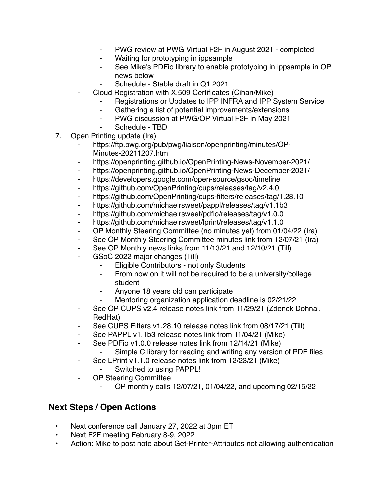- PWG review at PWG Virtual F2F in August 2021 completed
- Waiting for prototyping in ippsample
- See Mike's PDFio library to enable prototyping in ippsample in OP news below
- Schedule Stable draft in Q1 2021
- Cloud Registration with X.509 Certificates (Cihan/Mike)
	- Registrations or Updates to IPP INFRA and IPP System Service
	- ⁃ Gathering a list of potential improvements/extensions
	- ⁃ PWG discussion at PWG/OP Virtual F2F in May 2021
	- Schedule TBD
- 7. Open Printing update (Ira)
	- https://ftp.pwg.org/pub/pwg/liaison/openprinting/minutes/OP-Minutes-20211207.htm
	- ⁃ https://openprinting.github.io/OpenPrinting-News-November-2021/
	- ⁃ https://openprinting.github.io/OpenPrinting-News-December-2021/
	- ⁃ https://developers.google.com/open-source/gsoc/timeline
	- ⁃ https://github.com/OpenPrinting/cups/releases/tag/v2.4.0
	- ⁃ https://github.com/OpenPrinting/cups-filters/releases/tag/1.28.10
	- ⁃ https://github.com/michaelrsweet/pappl/releases/tag/v1.1b3
	- ⁃ https://github.com/michaelrsweet/pdfio/releases/tag/v1.0.0
	- ⁃ https://github.com/michaelrsweet/lprint/releases/tag/v1.1.0
	- ⁃ OP Monthly Steering Committee (no minutes yet) from 01/04/22 (Ira)
	- See OP Monthly Steering Committee minutes link from 12/07/21 (Ira)
	- ⁃ See OP Monthly news links from 11/13/21 and 12/10/21 (Till)
	- GSoC 2022 major changes (Till)
		- Eligible Contributors not only Students
		- ⁃ From now on it will not be required to be a university/college student
		- Anyone 18 years old can participate
		- Mentoring organization application deadline is 02/21/22
	- ⁃ See OP CUPS v2.4 release notes link from 11/29/21 (Zdenek Dohnal, RedHat)
	- See CUPS Filters v1.28.10 release notes link from 08/17/21 (Till)
	- See PAPPL v1.1b3 release notes link from 11/04/21 (Mike)
	- ⁃ See PDFio v1.0.0 release notes link from 12/14/21 (Mike)
	- Simple C library for reading and writing any version of PDF files
	- ⁃ See LPrint v1.1.0 release notes link from 12/23/21 (Mike)
		- ⁃ Switched to using PAPPL!
	- OP Steering Committee
		- ⁃ OP monthly calls 12/07/21, 01/04/22, and upcoming 02/15/22

## **Next Steps / Open Actions**

- Next conference call January 27, 2022 at 3pm ET
- Next F2F meeting February 8-9, 2022
- Action: Mike to post note about Get-Printer-Attributes not allowing authentication